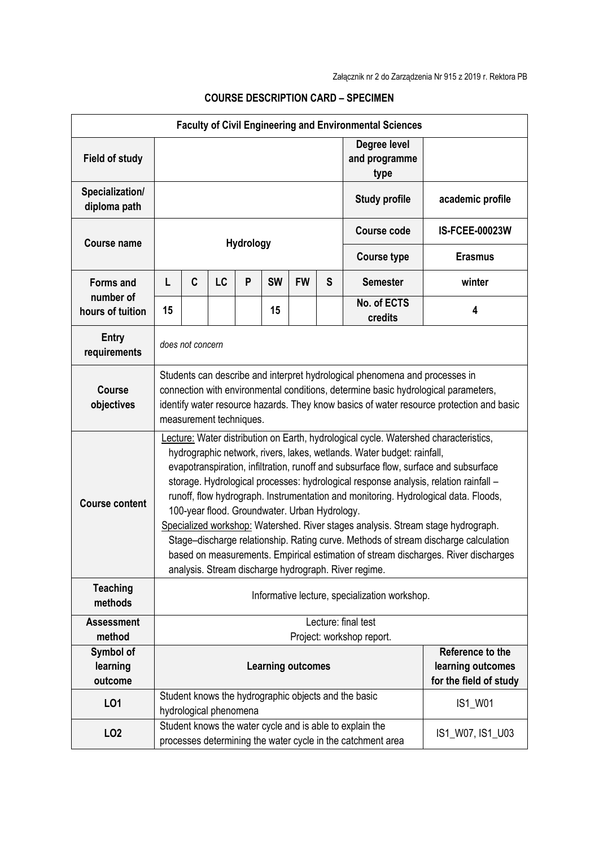|                                  |                                                                                                                                                                                                                                                                                                                                                                                                                                                                                                                                                                                                                                                                                                                                                                                                                 |                  |                        |           |                          |           |   | <b>Faculty of Civil Engineering and Environmental Sciences</b>                                                          |                                                                 |
|----------------------------------|-----------------------------------------------------------------------------------------------------------------------------------------------------------------------------------------------------------------------------------------------------------------------------------------------------------------------------------------------------------------------------------------------------------------------------------------------------------------------------------------------------------------------------------------------------------------------------------------------------------------------------------------------------------------------------------------------------------------------------------------------------------------------------------------------------------------|------------------|------------------------|-----------|--------------------------|-----------|---|-------------------------------------------------------------------------------------------------------------------------|-----------------------------------------------------------------|
| <b>Field of study</b>            |                                                                                                                                                                                                                                                                                                                                                                                                                                                                                                                                                                                                                                                                                                                                                                                                                 |                  |                        |           |                          |           |   | Degree level<br>and programme<br>type                                                                                   |                                                                 |
| Specialization/<br>diploma path  |                                                                                                                                                                                                                                                                                                                                                                                                                                                                                                                                                                                                                                                                                                                                                                                                                 |                  |                        |           |                          |           |   | <b>Study profile</b>                                                                                                    | academic profile                                                |
|                                  |                                                                                                                                                                                                                                                                                                                                                                                                                                                                                                                                                                                                                                                                                                                                                                                                                 |                  |                        |           |                          |           |   | <b>Course code</b>                                                                                                      | <b>IS-FCEE-00023W</b>                                           |
| <b>Course name</b>               |                                                                                                                                                                                                                                                                                                                                                                                                                                                                                                                                                                                                                                                                                                                                                                                                                 |                  |                        | Hydrology |                          |           |   | <b>Course type</b>                                                                                                      | <b>Erasmus</b>                                                  |
| <b>Forms and</b>                 | L                                                                                                                                                                                                                                                                                                                                                                                                                                                                                                                                                                                                                                                                                                                                                                                                               | C                | LC                     | P         | <b>SW</b>                | <b>FW</b> | S | <b>Semester</b>                                                                                                         | winter                                                          |
| number of<br>hours of tuition    | 15                                                                                                                                                                                                                                                                                                                                                                                                                                                                                                                                                                                                                                                                                                                                                                                                              |                  |                        |           | 15                       |           |   | No. of ECTS<br>credits                                                                                                  | 4                                                               |
| Entry<br>requirements            |                                                                                                                                                                                                                                                                                                                                                                                                                                                                                                                                                                                                                                                                                                                                                                                                                 | does not concern |                        |           |                          |           |   |                                                                                                                         |                                                                 |
| <b>Course</b><br>objectives      | Students can describe and interpret hydrological phenomena and processes in<br>connection with environmental conditions, determine basic hydrological parameters,<br>identify water resource hazards. They know basics of water resource protection and basic<br>measurement techniques.                                                                                                                                                                                                                                                                                                                                                                                                                                                                                                                        |                  |                        |           |                          |           |   |                                                                                                                         |                                                                 |
| <b>Course content</b>            | Lecture: Water distribution on Earth, hydrological cycle. Watershed characteristics,<br>hydrographic network, rivers, lakes, wetlands. Water budget: rainfall,<br>evapotranspiration, infiltration, runoff and subsurface flow, surface and subsurface<br>storage. Hydrological processes: hydrological response analysis, relation rainfall -<br>runoff, flow hydrograph. Instrumentation and monitoring. Hydrological data. Floods,<br>100-year flood. Groundwater. Urban Hydrology.<br>Specialized workshop: Watershed. River stages analysis. Stream stage hydrograph.<br>Stage-discharge relationship. Rating curve. Methods of stream discharge calculation<br>based on measurements. Empirical estimation of stream discharges. River discharges<br>analysis. Stream discharge hydrograph. River regime. |                  |                        |           |                          |           |   |                                                                                                                         |                                                                 |
| <b>Teaching</b><br>methods       |                                                                                                                                                                                                                                                                                                                                                                                                                                                                                                                                                                                                                                                                                                                                                                                                                 |                  |                        |           |                          |           |   | Informative lecture, specialization workshop.                                                                           |                                                                 |
| <b>Assessment</b><br>method      | Lecture: final test<br>Project: workshop report.                                                                                                                                                                                                                                                                                                                                                                                                                                                                                                                                                                                                                                                                                                                                                                |                  |                        |           |                          |           |   |                                                                                                                         |                                                                 |
| Symbol of<br>learning<br>outcome |                                                                                                                                                                                                                                                                                                                                                                                                                                                                                                                                                                                                                                                                                                                                                                                                                 |                  |                        |           | <b>Learning outcomes</b> |           |   |                                                                                                                         | Reference to the<br>learning outcomes<br>for the field of study |
| L01                              |                                                                                                                                                                                                                                                                                                                                                                                                                                                                                                                                                                                                                                                                                                                                                                                                                 |                  | hydrological phenomena |           |                          |           |   | Student knows the hydrographic objects and the basic                                                                    | IS1_W01                                                         |
| LO <sub>2</sub>                  |                                                                                                                                                                                                                                                                                                                                                                                                                                                                                                                                                                                                                                                                                                                                                                                                                 |                  |                        |           |                          |           |   | Student knows the water cycle and is able to explain the<br>processes determining the water cycle in the catchment area | IS1_W07, IS1_U03                                                |

## **COURSE DESCRIPTION CARD – SPECIMEN**